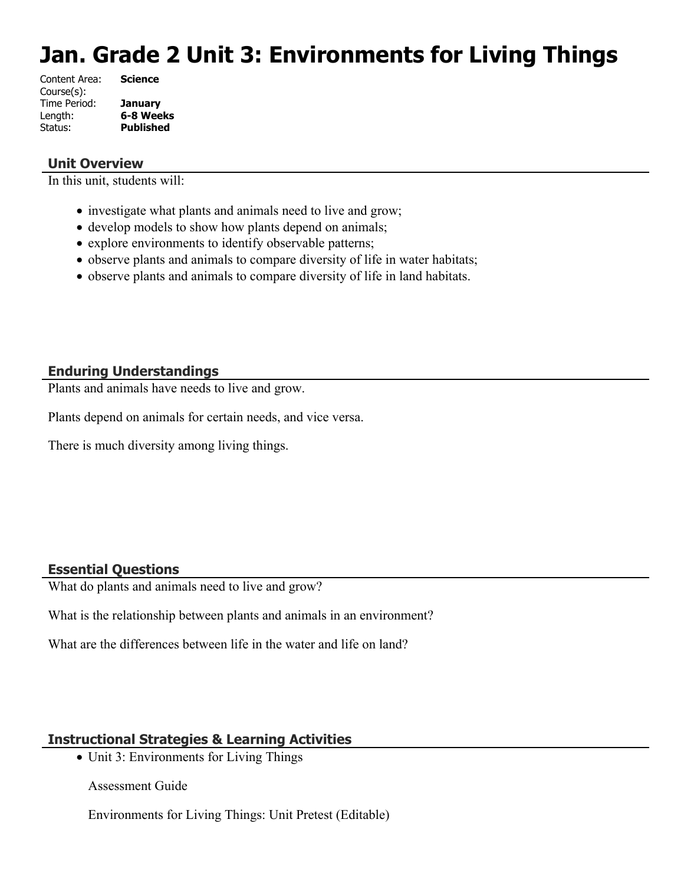# **Jan. Grade 2 Unit 3: Environments for Living Things**

| Content Area: | <b>Science</b>   |
|---------------|------------------|
| Course(s):    |                  |
| Time Period:  | January          |
| Length:       | 6-8 Weeks        |
| Status:       | <b>Published</b> |
|               |                  |

#### **Unit Overview**

In this unit, students will:

- investigate what plants and animals need to live and grow;
- develop models to show how plants depend on animals;
- explore environments to identify observable patterns;
- observe plants and animals to compare diversity of life in water habitats;
- observe plants and animals to compare diversity of life in land habitats.

#### **Enduring Understandings**

Plants and animals have needs to live and grow.

Plants depend on animals for certain needs, and vice versa.

There is much diversity among living things.

#### **Essential Questions**

What do plants and animals need to live and grow?

What is the relationship between plants and animals in an environment?

What are the differences between life in the water and life on land?

#### **Instructional Strategies & Learning Activities**

• Unit 3: Environments for Living Things

Assessment Guide

Environments for Living Things: Unit Pretest (Editable)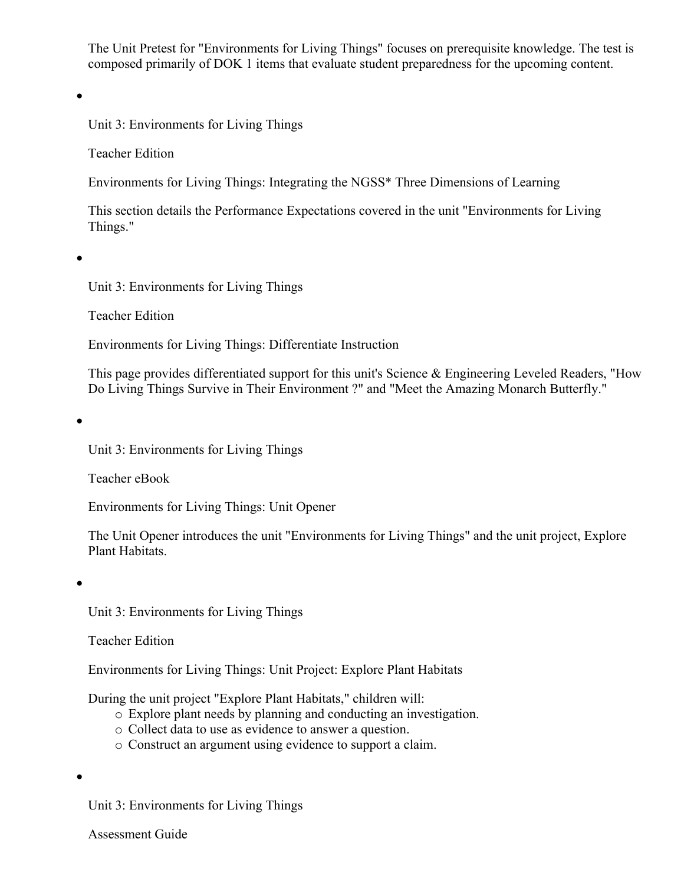The Unit Pretest for "Environments for Living Things" focuses on prerequisite knowledge. The test is composed primarily of DOK 1 items that evaluate student preparedness for the upcoming content.

 $\bullet$ 

Unit 3: Environments for Living Things

Teacher Edition

Environments for Living Things: Integrating the NGSS\* Three Dimensions of Learning

This section details the Performance Expectations covered in the unit "Environments for Living Things."

 $\bullet$ 

Unit 3: Environments for Living Things

Teacher Edition

Environments for Living Things: Differentiate Instruction

This page provides differentiated support for this unit's Science & Engineering Leveled Readers, "How Do Living Things Survive in Their Environment ?" and "Meet the Amazing Monarch Butterfly."

 $\bullet$ 

Unit 3: Environments for Living Things

Teacher eBook

Environments for Living Things: Unit Opener

The Unit Opener introduces the unit "Environments for Living Things" and the unit project, Explore Plant Habitats.

 $\bullet$ 

Unit 3: Environments for Living Things

Teacher Edition

Environments for Living Things: Unit Project: Explore Plant Habitats

During the unit project "Explore Plant Habitats," children will:

- o Explore plant needs by planning and conducting an investigation.
- o Collect data to use as evidence to answer a question.
- o Construct an argument using evidence to support a claim.

 $\bullet$ 

Unit 3: Environments for Living Things

Assessment Guide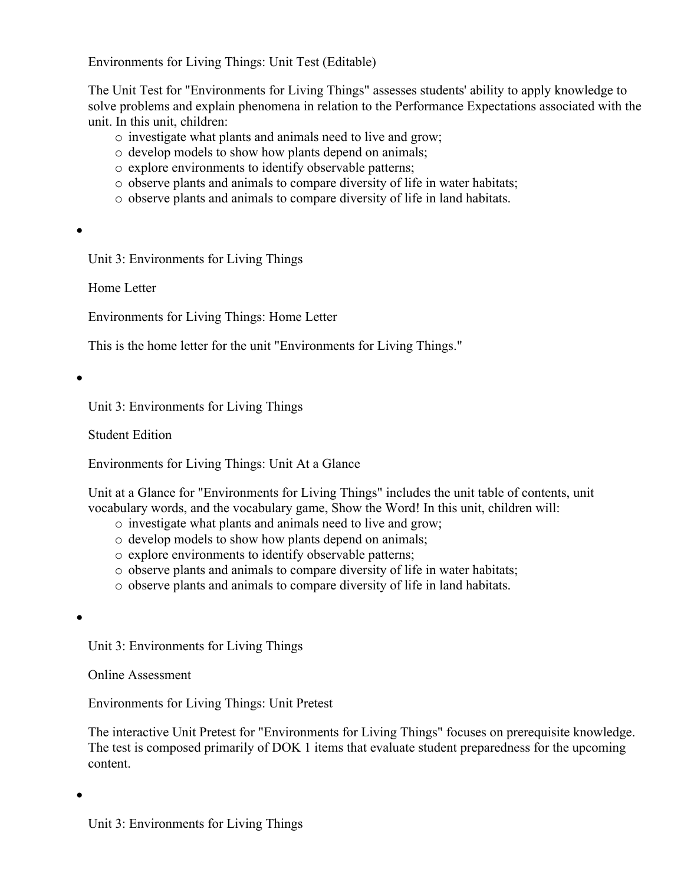Environments for Living Things: Unit Test (Editable)

The Unit Test for "Environments for Living Things" assesses students' ability to apply knowledge to solve problems and explain phenomena in relation to the Performance Expectations associated with the unit. In this unit, children:

- o investigate what plants and animals need to live and grow;
- o develop models to show how plants depend on animals;
- o explore environments to identify observable patterns;
- o observe plants and animals to compare diversity of life in water habitats;
- o observe plants and animals to compare diversity of life in land habitats.

 $\bullet$ 

Unit 3: Environments for Living Things

Home Letter

Environments for Living Things: Home Letter

This is the home letter for the unit "Environments for Living Things."

 $\bullet$ 

Unit 3: Environments for Living Things

Student Edition

Environments for Living Things: Unit At a Glance

Unit at a Glance for "Environments for Living Things" includes the unit table of contents, unit vocabulary words, and the vocabulary game, Show the Word! In this unit, children will:

- o investigate what plants and animals need to live and grow;
- o develop models to show how plants depend on animals;
- o explore environments to identify observable patterns;
- o observe plants and animals to compare diversity of life in water habitats;
- o observe plants and animals to compare diversity of life in land habitats.

 $\bullet$ 

Unit 3: Environments for Living Things

Online Assessment

Environments for Living Things: Unit Pretest

The interactive Unit Pretest for "Environments for Living Things" focuses on prerequisite knowledge. The test is composed primarily of DOK 1 items that evaluate student preparedness for the upcoming content.

 $\bullet$ 

Unit 3: Environments for Living Things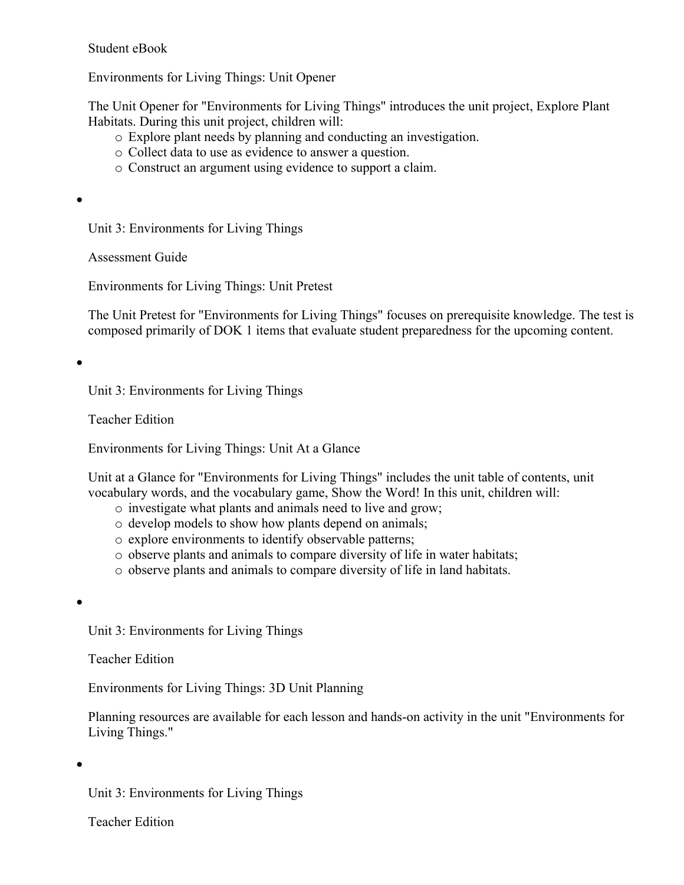Student eBook

Environments for Living Things: Unit Opener

The Unit Opener for "Environments for Living Things" introduces the unit project, Explore Plant Habitats. During this unit project, children will:

- o Explore plant needs by planning and conducting an investigation.
- o Collect data to use as evidence to answer a question.
- o Construct an argument using evidence to support a claim.

 $\bullet$ 

Unit 3: Environments for Living Things

Assessment Guide

Environments for Living Things: Unit Pretest

The Unit Pretest for "Environments for Living Things" focuses on prerequisite knowledge. The test is composed primarily of DOK 1 items that evaluate student preparedness for the upcoming content.

 $\bullet$ 

Unit 3: Environments for Living Things

Teacher Edition

Environments for Living Things: Unit At a Glance

Unit at a Glance for "Environments for Living Things" includes the unit table of contents, unit vocabulary words, and the vocabulary game, Show the Word! In this unit, children will:

- o investigate what plants and animals need to live and grow;
- o develop models to show how plants depend on animals;
- o explore environments to identify observable patterns;
- o observe plants and animals to compare diversity of life in water habitats;
- o observe plants and animals to compare diversity of life in land habitats.

 $\bullet$ 

Unit 3: Environments for Living Things

Teacher Edition

Environments for Living Things: 3D Unit Planning

Planning resources are available for each lesson and hands-on activity in the unit "Environments for Living Things."

 $\bullet$ 

Unit 3: Environments for Living Things

Teacher Edition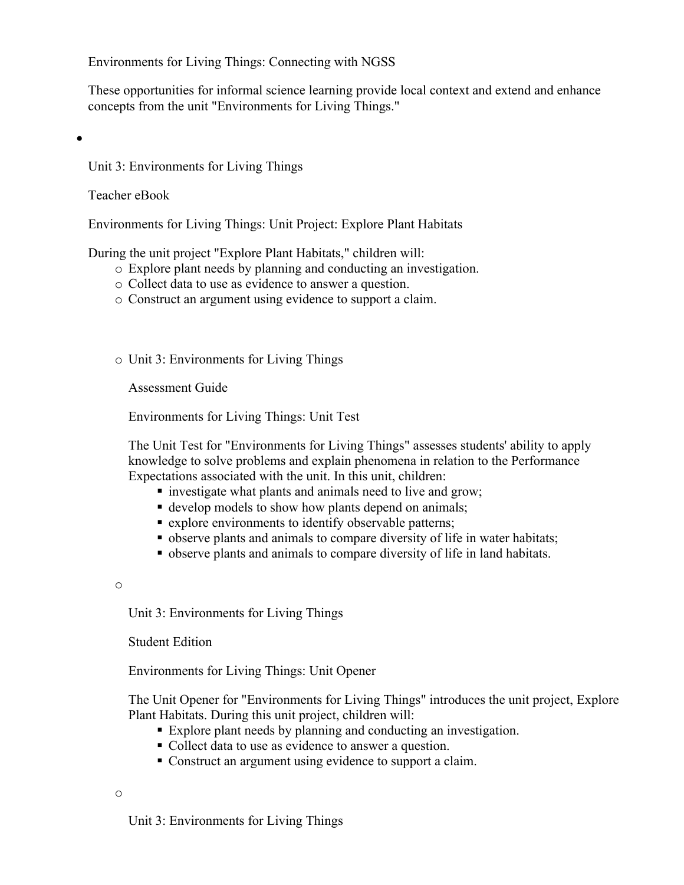Environments for Living Things: Connecting with NGSS

These opportunities for informal science learning provide local context and extend and enhance concepts from the unit "Environments for Living Things."

 $\bullet$ 

Unit 3: Environments for Living Things

Teacher eBook

Environments for Living Things: Unit Project: Explore Plant Habitats

During the unit project "Explore Plant Habitats," children will:

- o Explore plant needs by planning and conducting an investigation.
- o Collect data to use as evidence to answer a question.
- o Construct an argument using evidence to support a claim.
- o Unit 3: Environments for Living Things

Assessment Guide

Environments for Living Things: Unit Test

The Unit Test for "Environments for Living Things" assesses students' ability to apply knowledge to solve problems and explain phenomena in relation to the Performance Expectations associated with the unit. In this unit, children:

- **u** investigate what plants and animals need to live and grow;
- develop models to show how plants depend on animals;
- **Explore environments to identify observable patterns;**
- observe plants and animals to compare diversity of life in water habitats;
- observe plants and animals to compare diversity of life in land habitats.

o

Unit 3: Environments for Living Things

Student Edition

Environments for Living Things: Unit Opener

The Unit Opener for "Environments for Living Things" introduces the unit project, Explore Plant Habitats. During this unit project, children will:

- Explore plant needs by planning and conducting an investigation.
- Collect data to use as evidence to answer a question.
- Construct an argument using evidence to support a claim.

o

Unit 3: Environments for Living Things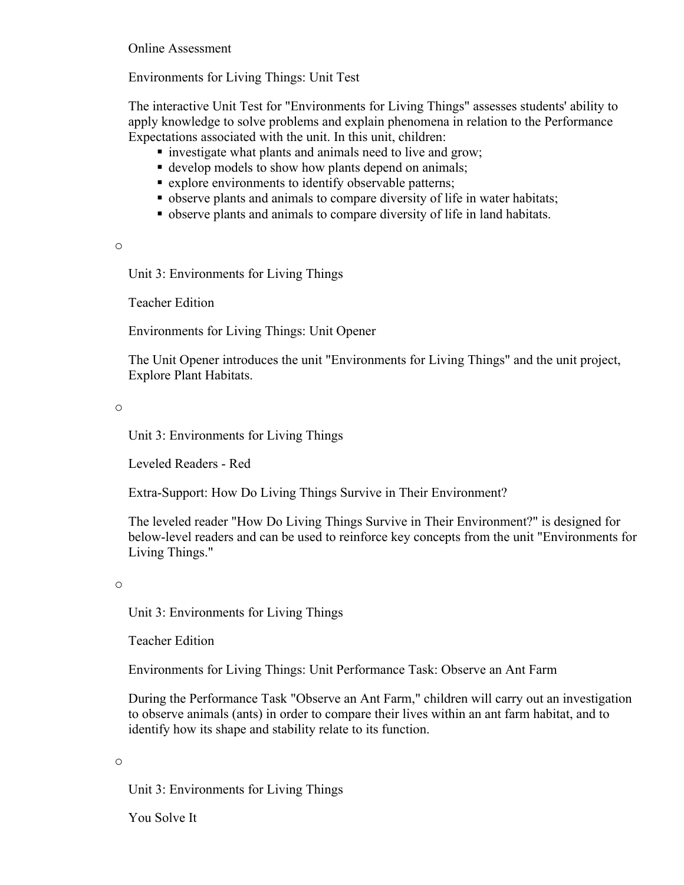Online Assessment

Environments for Living Things: Unit Test

The interactive Unit Test for "Environments for Living Things" assesses students' ability to apply knowledge to solve problems and explain phenomena in relation to the Performance Expectations associated with the unit. In this unit, children:

- investigate what plants and animals need to live and grow;
- develop models to show how plants depend on animals;
- explore environments to identify observable patterns;
- observe plants and animals to compare diversity of life in water habitats;
- observe plants and animals to compare diversity of life in land habitats.

o

Unit 3: Environments for Living Things

Teacher Edition

Environments for Living Things: Unit Opener

The Unit Opener introduces the unit "Environments for Living Things" and the unit project, Explore Plant Habitats.

o

Unit 3: Environments for Living Things

Leveled Readers - Red

Extra-Support: How Do Living Things Survive in Their Environment?

The leveled reader "How Do Living Things Survive in Their Environment?" is designed for below-level readers and can be used to reinforce key concepts from the unit "Environments for Living Things."

o

Unit 3: Environments for Living Things

Teacher Edition

Environments for Living Things: Unit Performance Task: Observe an Ant Farm

During the Performance Task "Observe an Ant Farm," children will carry out an investigation to observe animals (ants) in order to compare their lives within an ant farm habitat, and to identify how its shape and stability relate to its function.

o

Unit 3: Environments for Living Things

You Solve It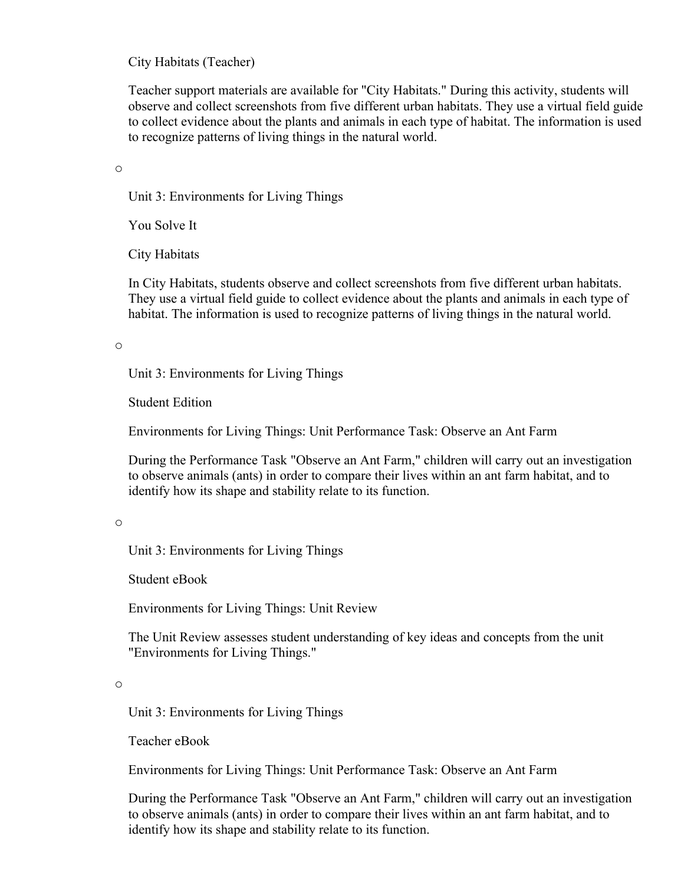City Habitats (Teacher)

Teacher support materials are available for "City Habitats." During this activity, students will observe and collect screenshots from five different urban habitats. They use a virtual field guide to collect evidence about the plants and animals in each type of habitat. The information is used to recognize patterns of living things in the natural world.

o

Unit 3: Environments for Living Things

You Solve It

City Habitats

In City Habitats, students observe and collect screenshots from five different urban habitats. They use a virtual field guide to collect evidence about the plants and animals in each type of habitat. The information is used to recognize patterns of living things in the natural world.

o

Unit 3: Environments for Living Things

Student Edition

Environments for Living Things: Unit Performance Task: Observe an Ant Farm

During the Performance Task "Observe an Ant Farm," children will carry out an investigation to observe animals (ants) in order to compare their lives within an ant farm habitat, and to identify how its shape and stability relate to its function.

o

Unit 3: Environments for Living Things

Student eBook

Environments for Living Things: Unit Review

The Unit Review assesses student understanding of key ideas and concepts from the unit "Environments for Living Things."

o

Unit 3: Environments for Living Things

Teacher eBook

Environments for Living Things: Unit Performance Task: Observe an Ant Farm

During the Performance Task "Observe an Ant Farm," children will carry out an investigation to observe animals (ants) in order to compare their lives within an ant farm habitat, and to identify how its shape and stability relate to its function.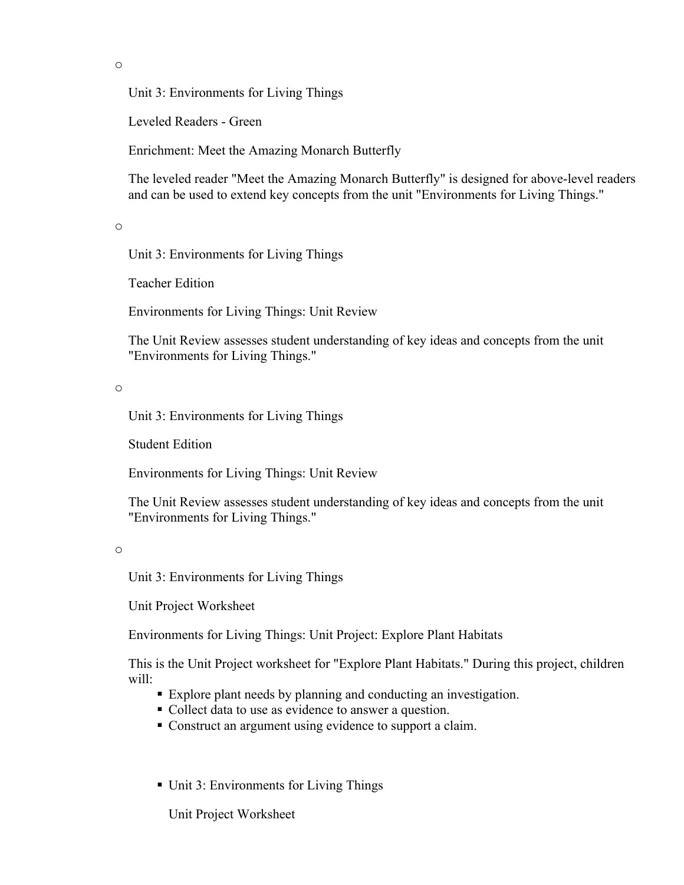o

Unit 3: Environments for Living Things

Leveled Readers - Green

Enrichment: Meet the Amazing Monarch Butterfly

The leveled reader "Meet the Amazing Monarch Butterfly" is designed for above-level readers and can be used to extend key concepts from the unit "Environments for Living Things."

o

Unit 3: Environments for Living Things

Teacher Edition

Environments for Living Things: Unit Review

The Unit Review assesses student understanding of key ideas and concepts from the unit "Environments for Living Things."

o

Unit 3: Environments for Living Things

Student Edition

Environments for Living Things: Unit Review

The Unit Review assesses student understanding of key ideas and concepts from the unit "Environments for Living Things."

o

Unit 3: Environments for Living Things

Unit Project Worksheet

Environments for Living Things: Unit Project: Explore Plant Habitats

This is the Unit Project worksheet for "Explore Plant Habitats." During this project, children will:

- Explore plant needs by planning and conducting an investigation.
- Collect data to use as evidence to answer a question.
- Construct an argument using evidence to support a claim.
- Unit 3: Environments for Living Things

Unit Project Worksheet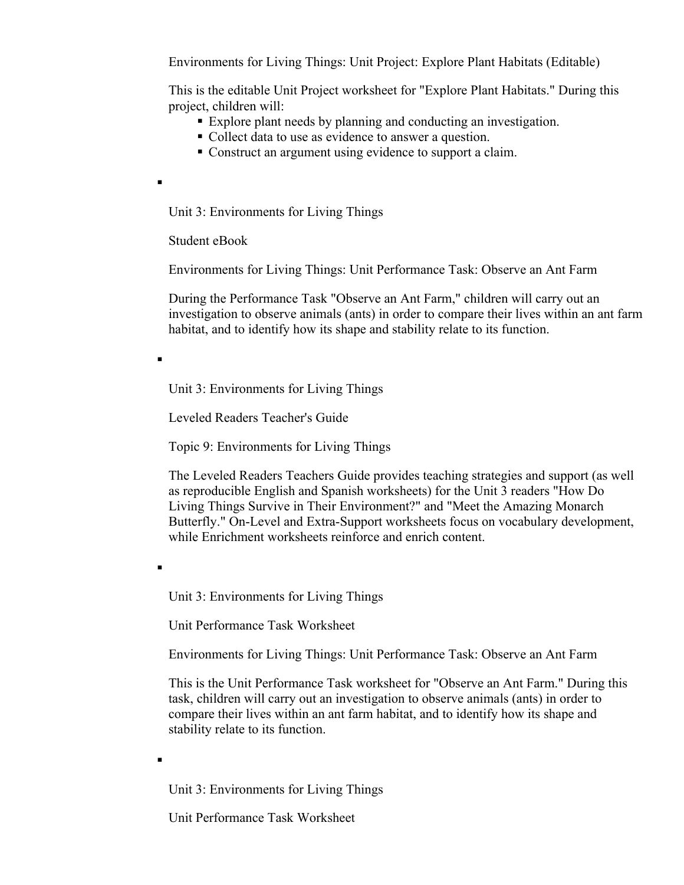Environments for Living Things: Unit Project: Explore Plant Habitats (Editable)

This is the editable Unit Project worksheet for "Explore Plant Habitats." During this project, children will:

- Explore plant needs by planning and conducting an investigation.
- Collect data to use as evidence to answer a question.
- Construct an argument using evidence to support a claim.

.

Unit 3: Environments for Living Things

Student eBook

Environments for Living Things: Unit Performance Task: Observe an Ant Farm

During the Performance Task "Observe an Ant Farm," children will carry out an investigation to observe animals (ants) in order to compare their lives within an ant farm habitat, and to identify how its shape and stability relate to its function.

 $\blacksquare$ 

Unit 3: Environments for Living Things

Leveled Readers Teacher's Guide

Topic 9: Environments for Living Things

The Leveled Readers Teachers Guide provides teaching strategies and support (as well as reproducible English and Spanish worksheets) for the Unit 3 readers "How Do Living Things Survive in Their Environment?" and "Meet the Amazing Monarch Butterfly." On-Level and Extra-Support worksheets focus on vocabulary development, while Enrichment worksheets reinforce and enrich content.

 $\blacksquare$ 

Unit 3: Environments for Living Things

Unit Performance Task Worksheet

Environments for Living Things: Unit Performance Task: Observe an Ant Farm

This is the Unit Performance Task worksheet for "Observe an Ant Farm." During this task, children will carry out an investigation to observe animals (ants) in order to compare their lives within an ant farm habitat, and to identify how its shape and stability relate to its function.

.

Unit 3: Environments for Living Things

Unit Performance Task Worksheet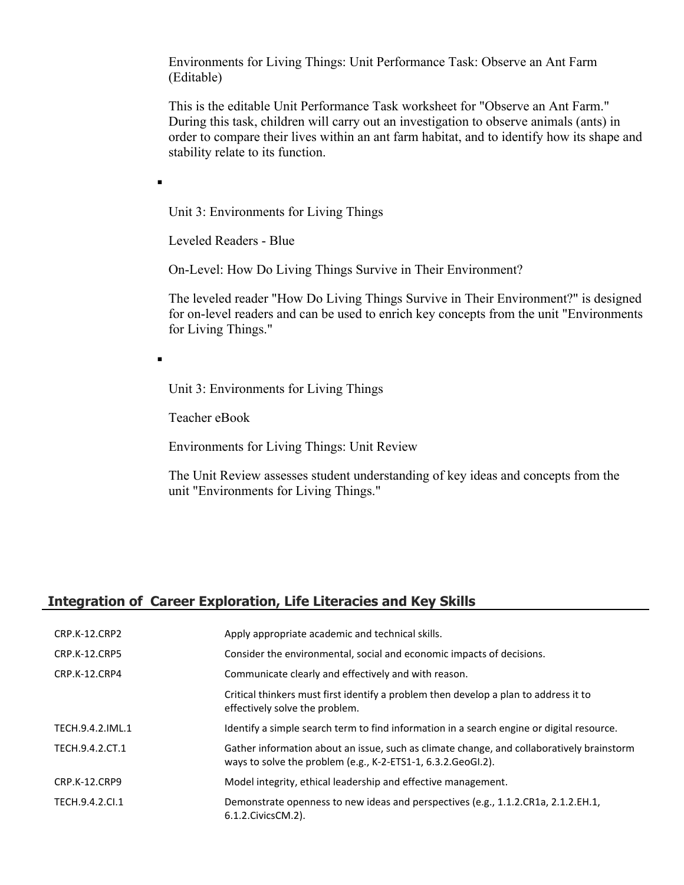Environments for Living Things: Unit Performance Task: Observe an Ant Farm (Editable)

This is the editable Unit Performance Task worksheet for "Observe an Ant Farm." During this task, children will carry out an investigation to observe animals (ants) in order to compare their lives within an ant farm habitat, and to identify how its shape and stability relate to its function.

Unit 3: Environments for Living Things

Leveled Readers - Blue

On-Level: How Do Living Things Survive in Their Environment?

The leveled reader "How Do Living Things Survive in Their Environment?" is designed for on-level readers and can be used to enrich key concepts from the unit "Environments for Living Things."

 $\blacksquare$ 

.

Unit 3: Environments for Living Things

Teacher eBook

Environments for Living Things: Unit Review

The Unit Review assesses student understanding of key ideas and concepts from the unit "Environments for Living Things."

#### **Integration of Career Exploration, Life Literacies and Key Skills**

| <b>CRP.K-12.CRP2</b> | Apply appropriate academic and technical skills.                                                                                                           |
|----------------------|------------------------------------------------------------------------------------------------------------------------------------------------------------|
| <b>CRP.K-12.CRP5</b> | Consider the environmental, social and economic impacts of decisions.                                                                                      |
| CRP.K-12.CRP4        | Communicate clearly and effectively and with reason.                                                                                                       |
|                      | Critical thinkers must first identify a problem then develop a plan to address it to<br>effectively solve the problem.                                     |
| TECH.9.4.2.IML.1     | Identify a simple search term to find information in a search engine or digital resource.                                                                  |
| TECH.9.4.2.CT.1      | Gather information about an issue, such as climate change, and collaboratively brainstorm<br>ways to solve the problem (e.g., K-2-ETS1-1, 6.3.2. GeoGI.2). |
| CRP.K-12.CRP9        | Model integrity, ethical leadership and effective management.                                                                                              |
| TECH.9.4.2.Cl.1      | Demonstrate openness to new ideas and perspectives (e.g., 1.1.2.CR1a, 2.1.2.EH.1,<br>$6.1.2$ . Civics CM. $2$ ).                                           |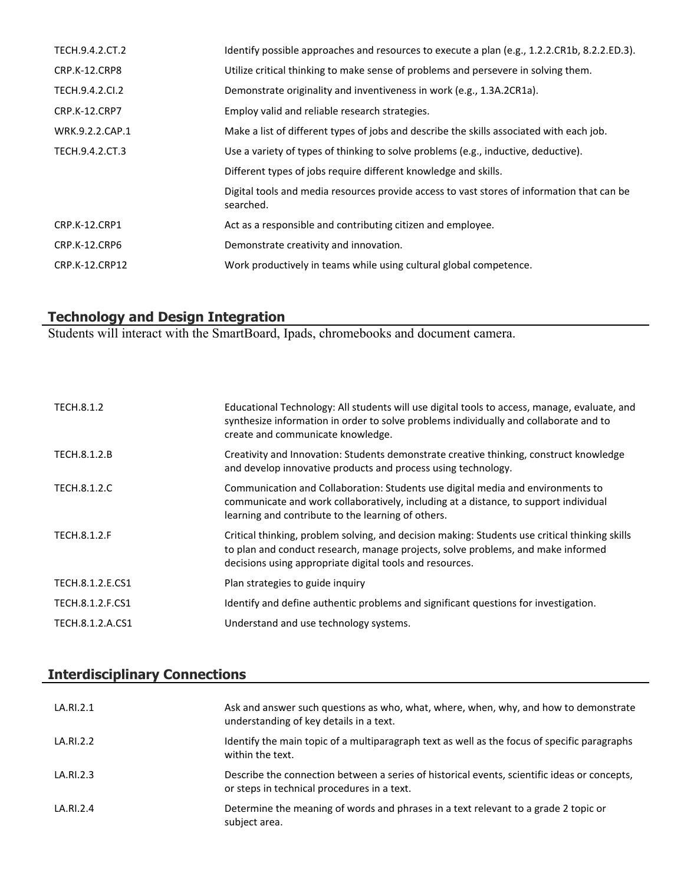| TECH.9.4.2.CT.2      | Identify possible approaches and resources to execute a plan (e.g., 1.2.2.CR1b, 8.2.2.ED.3).            |
|----------------------|---------------------------------------------------------------------------------------------------------|
| CRP.K-12.CRP8        | Utilize critical thinking to make sense of problems and persevere in solving them.                      |
| TECH.9.4.2.Cl.2      | Demonstrate originality and inventiveness in work (e.g., 1.3A.2CR1a).                                   |
| <b>CRP.K-12.CRP7</b> | Employ valid and reliable research strategies.                                                          |
| WRK.9.2.2.CAP.1      | Make a list of different types of jobs and describe the skills associated with each job.                |
| TECH.9.4.2.CT.3      | Use a variety of types of thinking to solve problems (e.g., inductive, deductive).                      |
|                      | Different types of jobs require different knowledge and skills.                                         |
|                      | Digital tools and media resources provide access to vast stores of information that can be<br>searched. |
| CRP.K-12.CRP1        | Act as a responsible and contributing citizen and employee.                                             |
| <b>CRP.K-12.CRP6</b> | Demonstrate creativity and innovation.                                                                  |
| CRP.K-12.CRP12       | Work productively in teams while using cultural global competence.                                      |

#### **Technology and Design Integration**

Students will interact with the SmartBoard, Ipads, chromebooks and document camera.

| TECH.8.1.2          | Educational Technology: All students will use digital tools to access, manage, evaluate, and<br>synthesize information in order to solve problems individually and collaborate and to<br>create and communicate knowledge.                     |
|---------------------|------------------------------------------------------------------------------------------------------------------------------------------------------------------------------------------------------------------------------------------------|
| TECH.8.1.2.B        | Creativity and Innovation: Students demonstrate creative thinking, construct knowledge<br>and develop innovative products and process using technology.                                                                                        |
| TECH.8.1.2.C        | Communication and Collaboration: Students use digital media and environments to<br>communicate and work collaboratively, including at a distance, to support individual<br>learning and contribute to the learning of others.                  |
| <b>TECH.8.1.2.F</b> | Critical thinking, problem solving, and decision making: Students use critical thinking skills<br>to plan and conduct research, manage projects, solve problems, and make informed<br>decisions using appropriate digital tools and resources. |
| TECH.8.1.2.E.CS1    | Plan strategies to guide inquiry                                                                                                                                                                                                               |
| TECH.8.1.2.F.CS1    | Identify and define authentic problems and significant questions for investigation.                                                                                                                                                            |
| TECH.8.1.2.A.CS1    | Understand and use technology systems.                                                                                                                                                                                                         |

## **Interdisciplinary Connections**

| LA.RI.2.1 | Ask and answer such questions as who, what, where, when, why, and how to demonstrate<br>understanding of key details in a text.             |
|-----------|---------------------------------------------------------------------------------------------------------------------------------------------|
| LA.RI.2.2 | Identify the main topic of a multiparagraph text as well as the focus of specific paragraphs<br>within the text.                            |
| LA.RI.2.3 | Describe the connection between a series of historical events, scientific ideas or concepts,<br>or steps in technical procedures in a text. |
| LA.RI.2.4 | Determine the meaning of words and phrases in a text relevant to a grade 2 topic or<br>subject area.                                        |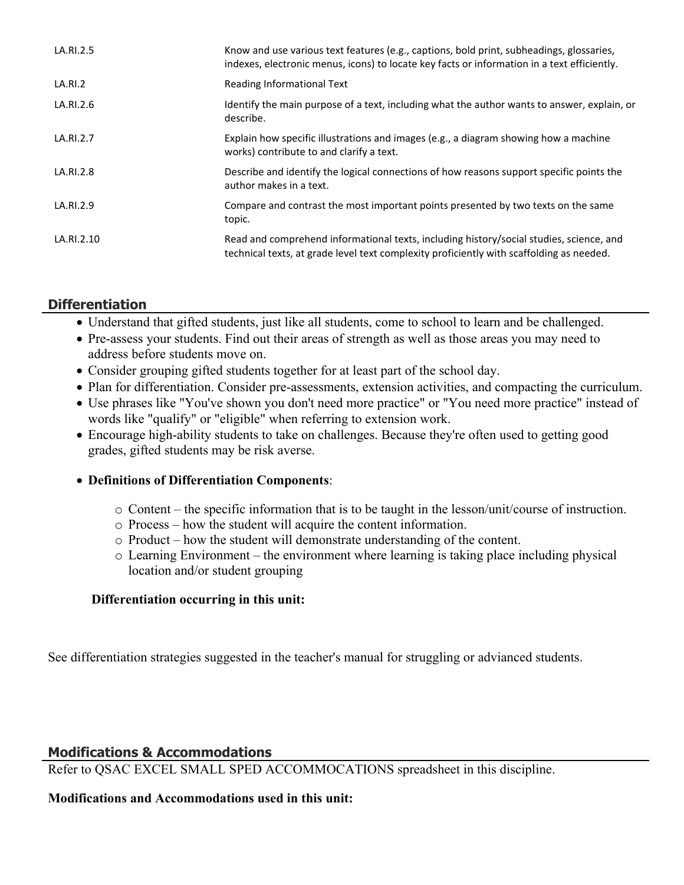| LA.RI.2.5  | Know and use various text features (e.g., captions, bold print, subheadings, glossaries,<br>indexes, electronic menus, icons) to locate key facts or information in a text efficiently. |
|------------|-----------------------------------------------------------------------------------------------------------------------------------------------------------------------------------------|
| LA.RI.2    | Reading Informational Text                                                                                                                                                              |
| LA.RI.2.6  | Identify the main purpose of a text, including what the author wants to answer, explain, or<br>describe.                                                                                |
| LA.RI.2.7  | Explain how specific illustrations and images (e.g., a diagram showing how a machine<br>works) contribute to and clarify a text.                                                        |
| LA.RI.2.8  | Describe and identify the logical connections of how reasons support specific points the<br>author makes in a text.                                                                     |
| LA.RI.2.9  | Compare and contrast the most important points presented by two texts on the same<br>topic.                                                                                             |
| LA.RI.2.10 | Read and comprehend informational texts, including history/social studies, science, and<br>technical texts, at grade level text complexity proficiently with scaffolding as needed.     |

## **Differentiation**

- Understand that gifted students, just like all students, come to school to learn and be challenged.
- Pre-assess your students. Find out their areas of strength as well as those areas you may need to address before students move on.
- Consider grouping gifted students together for at least part of the school day.
- Plan for differentiation. Consider pre-assessments, extension activities, and compacting the curriculum.
- Use phrases like "You've shown you don't need more practice" or "You need more practice" instead of words like "qualify" or "eligible" when referring to extension work.
- Encourage high-ability students to take on challenges. Because they're often used to getting good grades, gifted students may be risk averse.

#### **Definitions of Differentiation Components**:

- o Content the specific information that is to be taught in the lesson/unit/course of instruction.
- o Process how the student will acquire the content information.
- o Product how the student will demonstrate understanding of the content.
- o Learning Environment the environment where learning is taking place including physical location and/or student grouping

#### **Differentiation occurring in this unit:**

See differentiation strategies suggested in the teacher's manual for struggling or advianced students.

## **Modifications & Accommodations**

Refer to QSAC EXCEL SMALL SPED ACCOMMOCATIONS spreadsheet in this discipline.

#### **Modifications and Accommodations used in this unit:**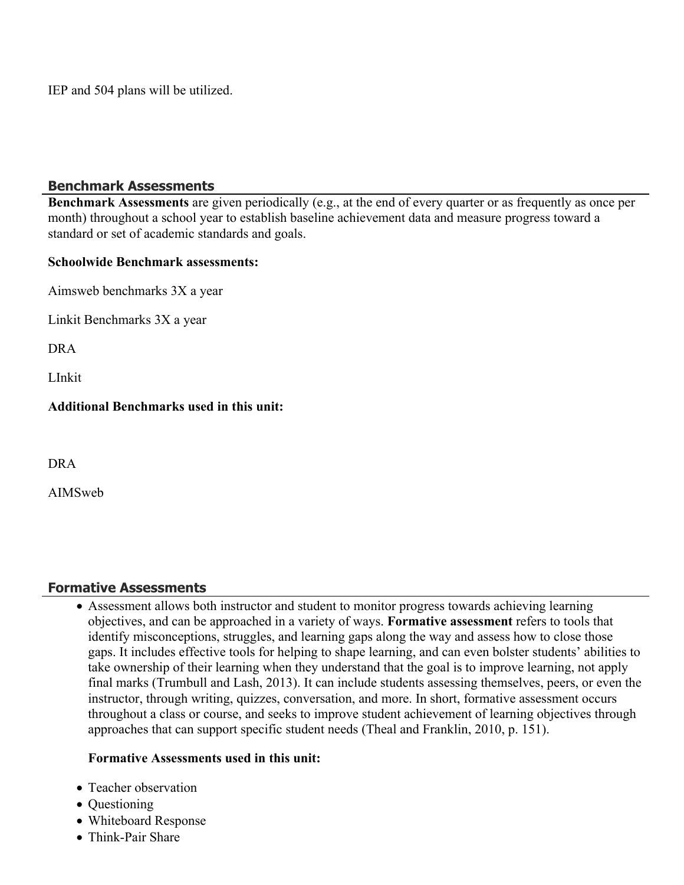IEP and 504 plans will be utilized.

#### **Benchmark Assessments**

**Benchmark Assessments** are given periodically (e.g., at the end of every quarter or as frequently as once per month) throughout a school year to establish baseline achievement data and measure progress toward a standard or set of academic standards and goals.

#### **Schoolwide Benchmark assessments:**

Aimsweb benchmarks 3X a year

Linkit Benchmarks 3X a year

DRA

LInkit

#### **Additional Benchmarks used in this unit:**

DRA

AIMSweb

## **Formative Assessments**

 Assessment allows both instructor and student to monitor progress towards achieving learning objectives, and can be approached in a variety of ways. **Formative assessment** refers to tools that identify misconceptions, struggles, and learning gaps along the way and assess how to close those gaps. It includes effective tools for helping to shape learning, and can even bolster students' abilities to take ownership of their learning when they understand that the goal is to improve learning, not apply final marks (Trumbull and Lash, 2013). It can include students assessing themselves, peers, or even the instructor, through writing, quizzes, conversation, and more. In short, formative assessment occurs throughout a class or course, and seeks to improve student achievement of learning objectives through approaches that can support specific student needs (Theal and Franklin, 2010, p. 151).

#### **Formative Assessments used in this unit:**

- Teacher observation
- Questioning
- Whiteboard Response
- Think-Pair Share